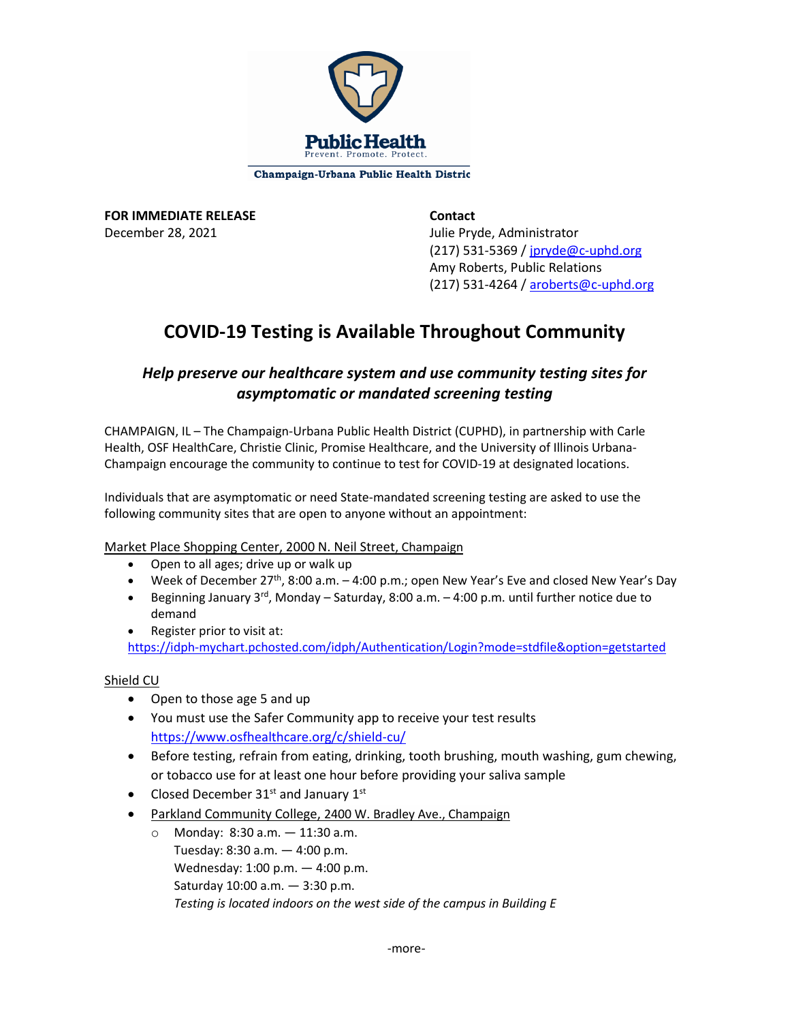

Champaign-Urbana Public Health Distric

**FOR IMMEDIATE RELEASE Contact** December 28, 2021 and the United States of Tulie Pryde, Administrator

 (217) 531-5369 [/ jpryde@c-uphd.org](mailto:jpryde@c-uphd.org) Amy Roberts, Public Relations (217) 531-4264 [/ aroberts@c-uphd.org](mailto:aroberts@c-uphd.org)

# **COVID-19 Testing is Available Throughout Community**

## *Help preserve our healthcare system and use community testing sites for asymptomatic or mandated screening testing*

CHAMPAIGN, IL – The Champaign-Urbana Public Health District (CUPHD), in partnership with Carle Health, OSF HealthCare, Christie Clinic, Promise Healthcare, and the University of Illinois Urbana-Champaign encourage the community to continue to test for COVID-19 at designated locations.

Individuals that are asymptomatic or need State-mandated screening testing are asked to use the following community sites that are open to anyone without an appointment:

### Market Place Shopping Center, 2000 N. Neil Street, Champaign

- Open to all ages; drive up or walk up
- Week of December 27<sup>th</sup>, 8:00 a.m.  $-$  4:00 p.m.; open New Year's Eve and closed New Year's Day
- Beginning January  $3^{rd}$ , Monday Saturday, 8:00 a.m. 4:00 p.m. until further notice due to demand
- Register prior to visit at:

<https://idph-mychart.pchosted.com/idph/Authentication/Login?mode=stdfile&option=getstarted>

### Shield CU

- Open to those age 5 and up
- You must use the Safer Community app to receive your test results <https://www.osfhealthcare.org/c/shield-cu/>
- Before testing, refrain from eating, drinking, tooth brushing, mouth washing, gum chewing, or tobacco use for at least one hour before providing your saliva sample
- Closed December  $31^{st}$  and January  $1^{st}$
- Parkland Community College, 2400 W. Bradley Ave., Champaign
	- o Monday: 8:30 a.m. 11:30 a.m. Tuesday: 8:30 a.m. — 4:00 p.m. Wednesday: 1:00 p.m. — 4:00 p.m. Saturday 10:00 a.m. — 3:30 p.m. *Testing is located indoors on the west side of the campus in Building E*